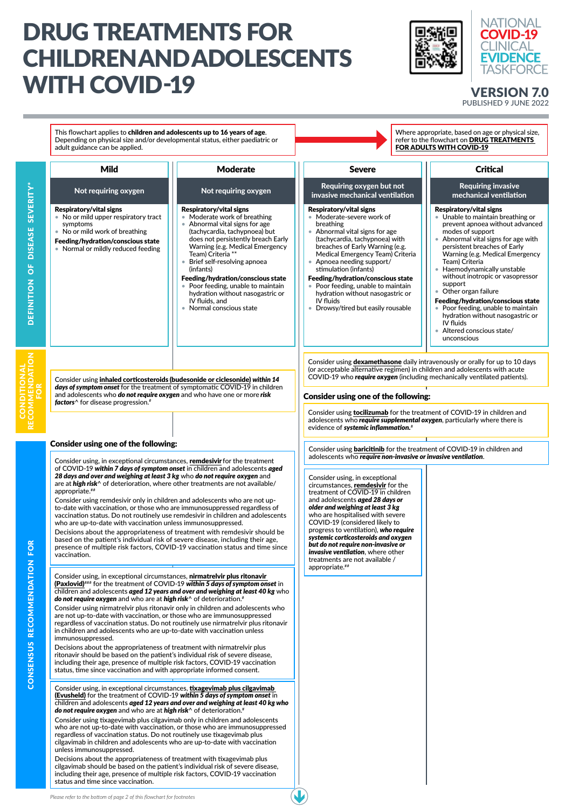## DRUG TREATMENTS FOR CHILDREN AND ADOLESCENTS WITH COVID-19 VERSION 7.0





## PUBLISHED 9 JUNE 2022

This flowchart applies to children and adolescents up to 16 years of age. Where appropriate, based on age or physical size, Depending on physical size and/or developmental status, either paediatric or refer to the flowchart on [DRUG TREATMENTS](https://covid19evidence.net.au/wp-content/uploads/FLOWCHART-DT-FOR-ADULTS.pdf)  adult guidance can be applied. [FOR ADULTS WITH COVID-19](https://covid19evidence.net.au/wp-content/uploads/FLOWCHART-DT-FOR-ADULTS.pdf) Mild Moderate **Critical** Severe Not requiring oxygen  $\blacksquare$  Not requiring oxygen  $\blacksquare$  Requiring oxygen but not Requiring invasive DEFINITION OF DISEASE SEVERITY\* DEFINITION OF DISEASE SEVERITY\* invasive mechanical ventilation mechanical ventilation Respiratory/vital signs Respiratory/vital signs Respiratory/vital signs Respiratory/vital signs • No or mild upper respiratory tract • Moderate-severe work of • Unable to maintain breathing or • Moderate work of breathing symptoms • Abnormal vital signs for age breathing prevent apnoea without advanced • No or mild work of breathing (tachycardia, tachypnoea) but • Abnormal vital signs for age modes of support does not persistently breach Early (tachycardia, tachypnoea) with • Abnormal vital signs for age with Feeding/hydration/conscious state breaches of Early Warning (e.g. persistent breaches of Early Warning (e.g. Medical Emergency • Normal or mildly reduced feeding Medical Emergency Team) Criteria Warning (e.g. Medical Emergency Team) Criteria \*\* • Brief self-resolving apnoea • Apnoea needing support/ Team) Criteria (infants) stimulation (infants) • Haemodynamically unstable without inotropic or vasopressor Feeding/hydration/conscious state Feeding/hydration/conscious state Poor feeding, unable to maintain • Poor feeding, unable to maintain support Other organ failure hydration without nasogastric or hydration without nasogastric or IV fluids, and Feeding/hydration/conscious state IV fluids • Normal conscious state • Drowsy/tired but easily rousable • Poor feeding, unable to maintain hydration without nasogastric or IV fluids • Altered conscious state/ unconscious RECOMMENDATION **MENDATION**<br>FOR Consider using [dexamethasone](https://app.magicapp.org/#/guideline/L4Q5An/rec/j2d4bn) daily intravenously or orally for up to 10 days CONDITIONAL (or acceptable alternative regimen) in children and adolescents with acute COVID-19 who *require oxygen* (including mechanically ventilated patients). Consider using [inhaled corticosteroids \(budesonide or ciclesonide\)](https://app.magicapp.org/#/guideline/L4Q5An/rec/jN2rQ1) *within 14 days of symptom onset* for the treatment of symptomatic COVID-19 in children and adolescents who *do not require oxygen* and who have one or more *risk*  Consider using one of the following: *factors*^ for disease progression.# Consider using [tocilizumab](https://app.magicapp.org/#/guideline/L4Q5An/rec/Ea9N8E) for the treatment of COVID-19 in children and adolescents who *require supplemental oxygen*, particularly where there is evidence of *systemic inflammation.*#Consider using one of the following: Consider using **[baricitinib](https://app.magicapp.org/#/guideline/L4Q5An/rec/jDJX6P)** for the treatment of COVID-19 in children and adolescents who *require non-invasive or invasive ventilation*. Consider using, in exceptional circumstances, [remdesivir](https://app.magicapp.org/#/guideline/L4Q5An/rec/jxQ3rz) for the treatment of COVID-19 *within 7 days of symptom onset* in children and adolescents *aged 28 days and over and weighing at least 3 kg* who *do not require oxygen* and Consider using, in exceptional are at *high risk*^ of deterioration, where other treatments are not available/ circumstances, **[remdesivir](https://app.magicapp.org/#/guideline/L4Q5An/rec/jbo1BY)** for the appropriate.## treatment of COVID-19 in children Consider using remdesivir only in children and adolescents who are not upand adolescents *aged 28 days or older and weighing at least 3 kg* to-date with vaccination, or those who are immunosuppressed regardless of who are hospitalised with severe vaccination status. Do not routinely use remdesivir in children and adolescents COVID-19 (considered likely to who are up-to-date with vaccination unless immunosuppressed. progress to ventilation), *who require*  Decisions about the appropriateness of treatment with remdesivir should be *systemic corticosteroids and oxygen*  based on the patient's individual risk of severe disease, including their age, **ENDATION FOR** *but do not require non-invasive or*  presence of multiple risk factors, COVID-19 vaccination status and time since *invasive ventilation*, where other vaccination. treatments are not available / appropriate.## Consider using, in exceptional circumstances, nirmatrelvir plus ritonavir [\(Paxlovid\)](https://app.magicapp.org/#/guideline/L4Q5An/rec/Evw874)### for the treatment of COVID-19 *within 5 days of symptom onset* in children and adolescents *aged 12 years and over and weighing at least 40 kg* who *do not require oxygen* and who are at *high risk*^ of deterioration.#

Consider using, in exceptional circumstances, [tixagevimab plus cilgavimab](https://app.magicapp.org/#/guideline/L4Q5An/rec/jzo3Oa)  [\(Evusheld\)](https://app.magicapp.org/#/guideline/L4Q5An/rec/jzo3Oa) for the treatment of COVID-19 *within 5 days of symptom onset* in children and adolescents *aged 12 years and over and weighing at least 40 kg who do not require oxygen* and who are at *high risk*^ of deterioration.#

Consider using tixagevimab plus cilgavimab only in children and adolescents who are not up-to-date with vaccination, or those who are immunosuppressed regardless of vaccination status. Do not routinely use tixagevimab plus cilgavimab in children and adolescents who are up-to-date with vaccination unless immunosuppressed.

Decisions about the appropriateness of treatment with tixagevimab plus cilgavimab should be based on the patient's individual risk of severe disease, including their age, presence of multiple risk factors, COVID-19 vaccination status and time since vaccination.

are not up-to-date with vaccination, or those who are immunosuppressed regardless of vaccination status. Do not routinely use nirmatrelvir plus ritonavir in children and adolescents who are up-to-date with vaccination unless immunosuppressed.

Decisions about the appropriateness of treatment with nirmatrelvir plus ritonavir should be based on the patient's individual risk of severe disease, including their age, presence of multiple risk factors, COVID-19 vaccination status, time since vaccination and with appropriate informed consent.